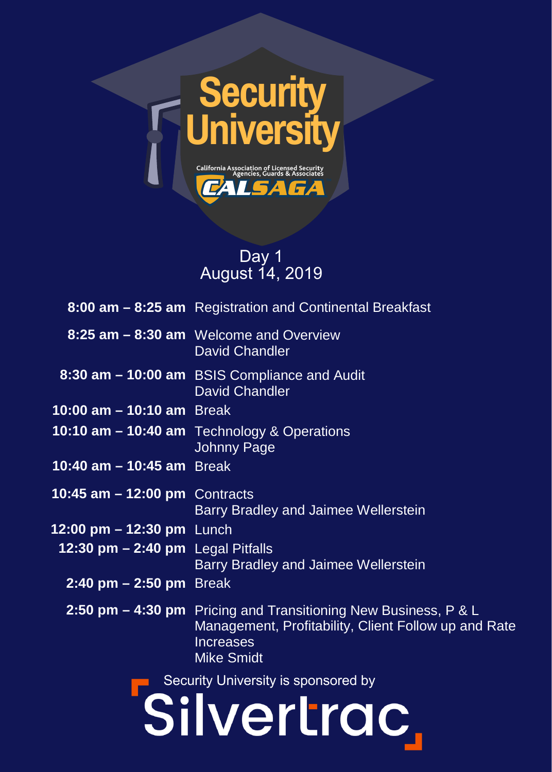

## Day 1 August 14, 2019

|                                     | 8:00 am - 8:25 am Registration and Continental Breakfast                                                                                                         |
|-------------------------------------|------------------------------------------------------------------------------------------------------------------------------------------------------------------|
|                                     | 8:25 am - 8:30 am Welcome and Overview<br>David Chandler                                                                                                         |
|                                     | 8:30 am - 10:00 am BSIS Compliance and Audit<br><b>David Chandler</b>                                                                                            |
| 10:00 am - 10:10 am Break           |                                                                                                                                                                  |
|                                     | 10:10 am - 10:40 am Technology & Operations<br>Johnny Page                                                                                                       |
| 10:40 $am - 10:45$ am Break         |                                                                                                                                                                  |
| 10:45 $am - 12:00$ pm Contracts     | Barry Bradley and Jaimee Wellerstein                                                                                                                             |
| 12:00 pm $-$ 12:30 pm Lunch         |                                                                                                                                                                  |
| 12:30 pm - 2:40 pm Legal Pitfalls   | <b>Barry Bradley and Jaimee Wellerstein</b>                                                                                                                      |
| 2:40 pm $-$ 2:50 pm Break           |                                                                                                                                                                  |
|                                     | 2:50 pm – 4:30 pm Pricing and Transitioning New Business, P & L<br>Management, Profitability, Client Follow up and Rate<br><b>Increases</b><br><b>Mike Smidt</b> |
| Security University is sponsored by |                                                                                                                                                                  |
| Silvertrac                          |                                                                                                                                                                  |